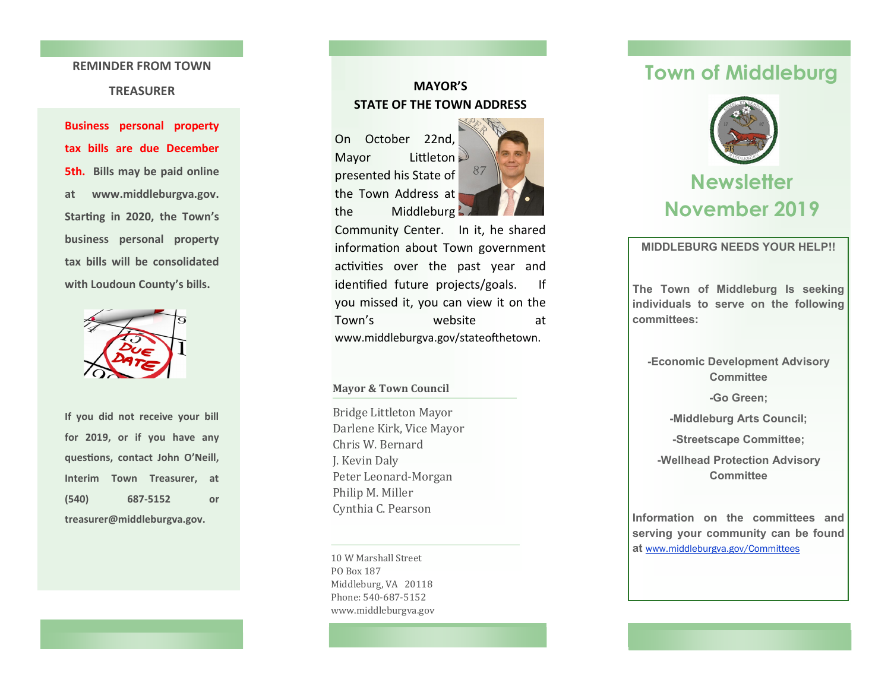#### **REMINDER FROM TOWN**

### **TREASURER**

**Business personal property tax bills are due December 5th. Bills may be paid online at www.middleburgva.gov. Starting in 2020, the Town 's business personal property tax bills will be consolidated with Loudoun County 's bills.** 



**If you did not receive your bill for 2019, or if you have any questions, contact John O 'Neill, Interim Town Treasurer, at (540) -5152 or treasurer@middleburgva.gov.** 

### **MAYOR 'S STATE OF THE TOWN ADDRESS**

On October 22nd, Mayor Littleton presented his State of the Town Address at the Middleburg



Community Center. In it, he shared information about Town government activities over the past year and identified future projects/goals. If you missed it, you can view it on the Town website at www.middleburgva.gov/stateofthetown.

### **Mayor & Town Council**

Bridge Littleton Mayor Darlene Kirk, Vice Mayor Chris W. Bernard J. Kevin Daly Peter Leonard -Morgan Philip M. Miller Cynthia C. Pearson

10 W Marshall Street PO Box 187 Middleburg, VA 20118 Phone: 540-687-5152 www.middleburgva.gov

# **Town of Middleburg**



# **November 2019**

**MIDDLEBURG NEEDS YOUR HELP!!**

**The Town of Middleburg Is seeking individuals to serve on the following committees:**

**-Economic Development Advisory Committee**

**-Go Green;**

**-Middleburg Arts Council;**

**-Streetscape Committee;**

**-Wellhead Protection Advisory Committee**

**Information on the committees and serving your community can be found at** [www.middleburgva.gov/Committees](http://www.middleburgva.gov/203/Boards-Commissions-Committees)